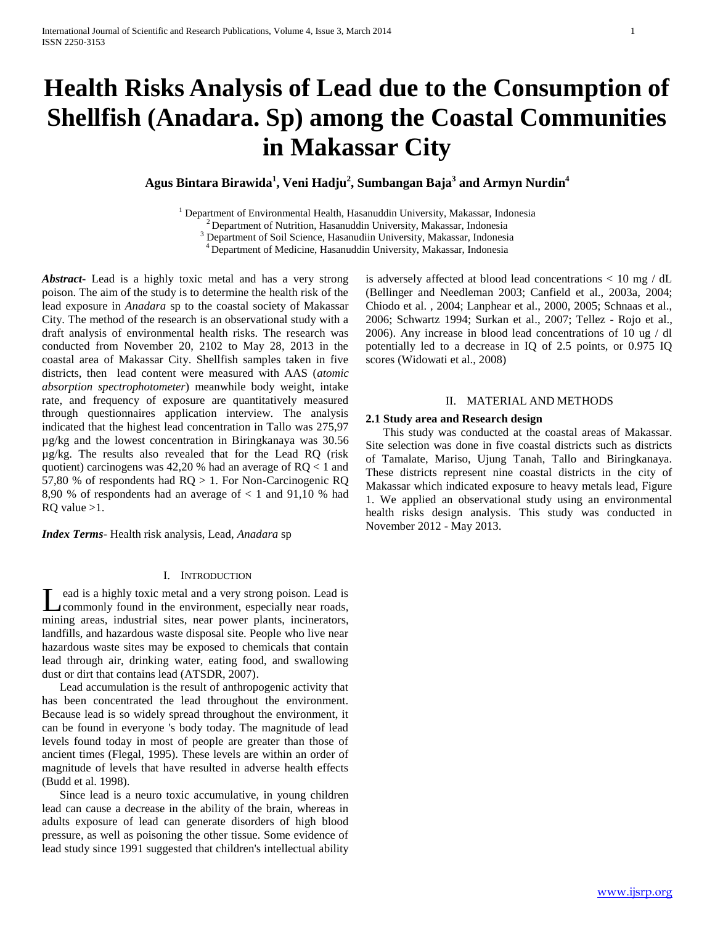# **Health Risks Analysis of Lead due to the Consumption of Shellfish (Anadara. Sp) among the Coastal Communities in Makassar City**

**Agus Bintara Birawida<sup>1</sup> , Veni Hadju<sup>2</sup> , Sumbangan Baja<sup>3</sup> and Armyn Nurdin<sup>4</sup>**

<sup>1</sup> Department of Environmental Health, Hasanuddin University, Makassar, Indonesia  $2$  Department of Nutrition, Hasanuddin University, Makassar, Indonesia

<sup>3</sup> Department of Soil Science, Hasanudiin University, Makassar, Indonesia

<sup>4</sup>Department of Medicine, Hasanuddin University, Makassar, Indonesia

*Abstract***-** Lead is a highly toxic metal and has a very strong poison. The aim of the study is to determine the health risk of the lead exposure in *Anadara* sp to the coastal society of Makassar City. The method of the research is an observational study with a draft analysis of environmental health risks. The research was conducted from November 20, 2102 to May 28, 2013 in the coastal area of Makassar City. Shellfish samples taken in five districts, then lead content were measured with AAS (*atomic absorption spectrophotometer*) meanwhile body weight, intake rate, and frequency of exposure are quantitatively measured through questionnaires application interview. The analysis indicated that the highest lead concentration in Tallo was 275,97 µg/kg and the lowest concentration in Biringkanaya was 30.56 µg/kg. The results also revealed that for the Lead RQ (risk quotient) carcinogens was 42,20 % had an average of RQ < 1 and 57,80 % of respondents had RQ > 1. For Non-Carcinogenic RQ 8,90 % of respondents had an average of  $< 1$  and 91,10 % had RQ value >1.

*Index Terms*- Health risk analysis, Lead, *Anadara* sp

#### I. INTRODUCTION

ead is a highly toxic metal and a very strong poison. Lead is Lead is a highly toxic metal and a very strong poison. Lead is commonly found in the environment, especially near roads, mining areas, industrial sites, near power plants, incinerators, landfills, and hazardous waste disposal site. People who live near hazardous waste sites may be exposed to chemicals that contain lead through air, drinking water, eating food, and swallowing dust or dirt that contains lead (ATSDR, 2007).

 Lead accumulation is the result of anthropogenic activity that has been concentrated the lead throughout the environment. Because lead is so widely spread throughout the environment, it can be found in everyone 's body today. The magnitude of lead levels found today in most of people are greater than those of ancient times (Flegal, 1995). These levels are within an order of magnitude of levels that have resulted in adverse health effects (Budd et al. 1998).

 Since lead is a neuro toxic accumulative, in young children lead can cause a decrease in the ability of the brain, whereas in adults exposure of lead can generate disorders of high blood pressure, as well as poisoning the other tissue. Some evidence of lead study since 1991 suggested that children's intellectual ability is adversely affected at blood lead concentrations < 10 mg / dL (Bellinger and Needleman 2003; Canfield et al., 2003a, 2004; Chiodo et al. , 2004; Lanphear et al., 2000, 2005; Schnaas et al., 2006; Schwartz 1994; Surkan et al., 2007; Tellez - Rojo et al., 2006). Any increase in blood lead concentrations of 10 ug / dl potentially led to a decrease in IQ of 2.5 points, or 0.975 IQ scores (Widowati et al., 2008)

## II. MATERIAL AND METHODS

## **2.1 Study area and Research design**

 This study was conducted at the coastal areas of Makassar. Site selection was done in five coastal districts such as districts of Tamalate, Mariso, Ujung Tanah, Tallo and Biringkanaya. These districts represent nine coastal districts in the city of Makassar which indicated exposure to heavy metals lead, Figure 1. We applied an observational study using an environmental health risks design analysis. This study was conducted in November 2012 - May 2013.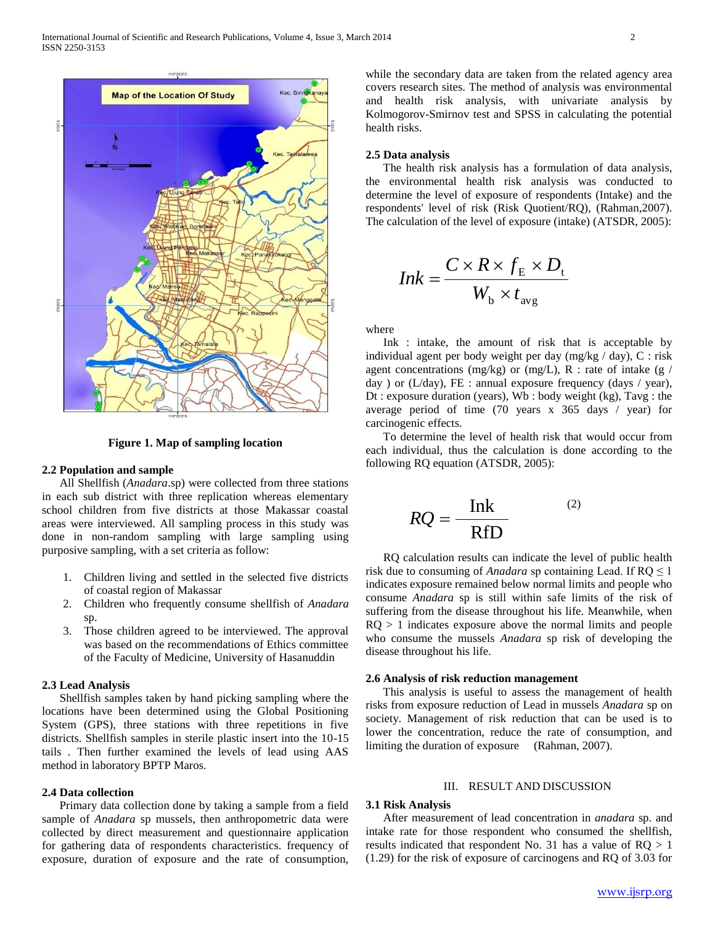

**Figure 1. Map of sampling location**

## **2.2 Population and sample**

 All Shellfish (*Anadara*.sp) were collected from three stations in each sub district with three replication whereas elementary school children from five districts at those Makassar coastal areas were interviewed. All sampling process in this study was done in non-random sampling with large sampling using purposive sampling, with a set criteria as follow:

- 1. Children living and settled in the selected five districts of coastal region of Makassar
- 2. Children who frequently consume shellfish of *Anadara* sp.
- 3. Those children agreed to be interviewed. The approval was based on the recommendations of Ethics committee of the Faculty of Medicine, University of Hasanuddin

### **2.3 Lead Analysis**

 Shellfish samples taken by hand picking sampling where the locations have been determined using the Global Positioning System (GPS), three stations with three repetitions in five districts. Shellfish samples in sterile plastic insert into the 10-15 tails . Then further examined the levels of lead using AAS method in laboratory BPTP Maros.

## **2.4 Data collection**

 Primary data collection done by taking a sample from a field sample of *Anadara* sp mussels, then anthropometric data were collected by direct measurement and questionnaire application for gathering data of respondents characteristics. frequency of exposure, duration of exposure and the rate of consumption,

while the secondary data are taken from the related agency area covers research sites. The method of analysis was environmental and health risk analysis, with univariate analysis by Kolmogorov-Smirnov test and SPSS in calculating the potential health risks.

# **2.5 Data analysis**

 The health risk analysis has a formulation of data analysis, the environmental health risk analysis was conducted to determine the level of exposure of respondents (Intake) and the respondents' level of risk (Risk Quotient/RQ), (Rahman,2007). The calculation of the level of exposure (intake) (ATSDR, 2005):

$$
Ink = \frac{C \times R \times f_{\rm E} \times D_{\rm t}}{W_{\rm b} \times t_{\rm avg}}
$$

where

 Ink : intake, the amount of risk that is acceptable by individual agent per body weight per day (mg/kg / day), C : risk agent concentrations (mg/kg) or (mg/L), R : rate of intake (g / day ) or (L/day), FE : annual exposure frequency (days / year), Dt : exposure duration (years), Wb : body weight (kg), Tavg : the average period of time (70 years x 365 days / year) for carcinogenic effects.

 To determine the level of health risk that would occur from each individual, thus the calculation is done according to the following RQ equation (ATSDR, 2005):

$$
RQ = \frac{\text{Ink}}{\text{RfD}} \tag{2}
$$

 RQ calculation results can indicate the level of public health risk due to consuming of *Anadara* sp containing Lead. If  $RQ \leq 1$ indicates exposure remained below normal limits and people who consume *Anadara* sp is still within safe limits of the risk of suffering from the disease throughout his life. Meanwhile, when  $RQ > 1$  indicates exposure above the normal limits and people who consume the mussels *Anadara* sp risk of developing the disease throughout his life.

## **2.6 Analysis of risk reduction management**

 This analysis is useful to assess the management of health risks from exposure reduction of Lead in mussels *Anadara* sp on society. Management of risk reduction that can be used is to lower the concentration, reduce the rate of consumption, and limiting the duration of exposure (Rahman, 2007).

## III. RESULT AND DISCUSSION

## **3.1 Risk Analysis**

 After measurement of lead concentration in *anadara* sp. and intake rate for those respondent who consumed the shellfish, results indicated that respondent No. 31 has a value of  $RQ > 1$ (1.29) for the risk of exposure of carcinogens and RQ of 3.03 for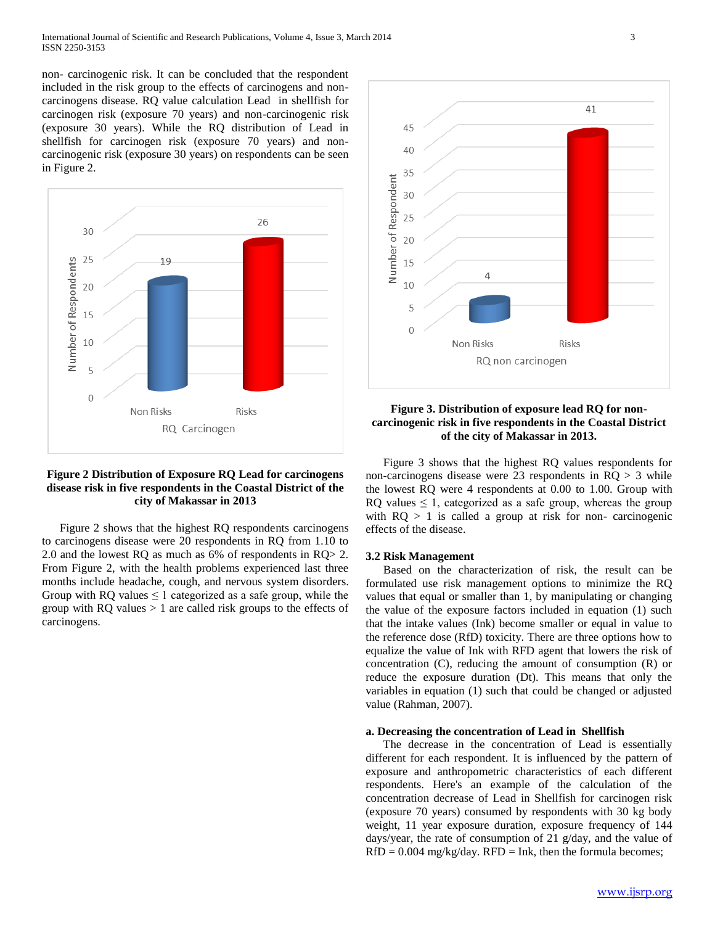non- carcinogenic risk. It can be concluded that the respondent included in the risk group to the effects of carcinogens and noncarcinogens disease. RQ value calculation Lead in shellfish for carcinogen risk (exposure 70 years) and non-carcinogenic risk (exposure 30 years). While the RQ distribution of Lead in shellfish for carcinogen risk (exposure 70 years) and noncarcinogenic risk (exposure 30 years) on respondents can be seen in Figure 2.



# **Figure 2 Distribution of Exposure RQ Lead for carcinogens disease risk in five respondents in the Coastal District of the city of Makassar in 2013**

 Figure 2 shows that the highest RQ respondents carcinogens to carcinogens disease were 20 respondents in RQ from 1.10 to 2.0 and the lowest RQ as much as 6% of respondents in RQ> 2. From Figure 2, with the health problems experienced last three months include headache, cough, and nervous system disorders. Group with RQ values  $\leq 1$  categorized as a safe group, while the group with  $RQ$  values  $> 1$  are called risk groups to the effects of carcinogens.



# **Figure 3. Distribution of exposure lead RQ for noncarcinogenic risk in five respondents in the Coastal District of the city of Makassar in 2013.**

 Figure 3 shows that the highest RQ values respondents for non-carcinogens disease were 23 respondents in  $RQ > 3$  while the lowest RQ were 4 respondents at 0.00 to 1.00. Group with RQ values  $\leq 1$ , categorized as a safe group, whereas the group with  $RQ > 1$  is called a group at risk for non- carcinogenic effects of the disease.

## **3.2 Risk Management**

 Based on the characterization of risk, the result can be formulated use risk management options to minimize the RQ values that equal or smaller than 1, by manipulating or changing the value of the exposure factors included in equation (1) such that the intake values (Ink) become smaller or equal in value to the reference dose (RfD) toxicity. There are three options how to equalize the value of Ink with RFD agent that lowers the risk of concentration (C), reducing the amount of consumption (R) or reduce the exposure duration (Dt). This means that only the variables in equation (1) such that could be changed or adjusted value (Rahman, 2007).

# **a. Decreasing the concentration of Lead in Shellfish**

 The decrease in the concentration of Lead is essentially different for each respondent. It is influenced by the pattern of exposure and anthropometric characteristics of each different respondents. Here's an example of the calculation of the concentration decrease of Lead in Shellfish for carcinogen risk (exposure 70 years) consumed by respondents with 30 kg body weight, 11 year exposure duration, exposure frequency of 144 days/year, the rate of consumption of 21 g/day, and the value of  $RfD = 0.004$  mg/kg/day.  $RFD = Ink$ , then the formula becomes;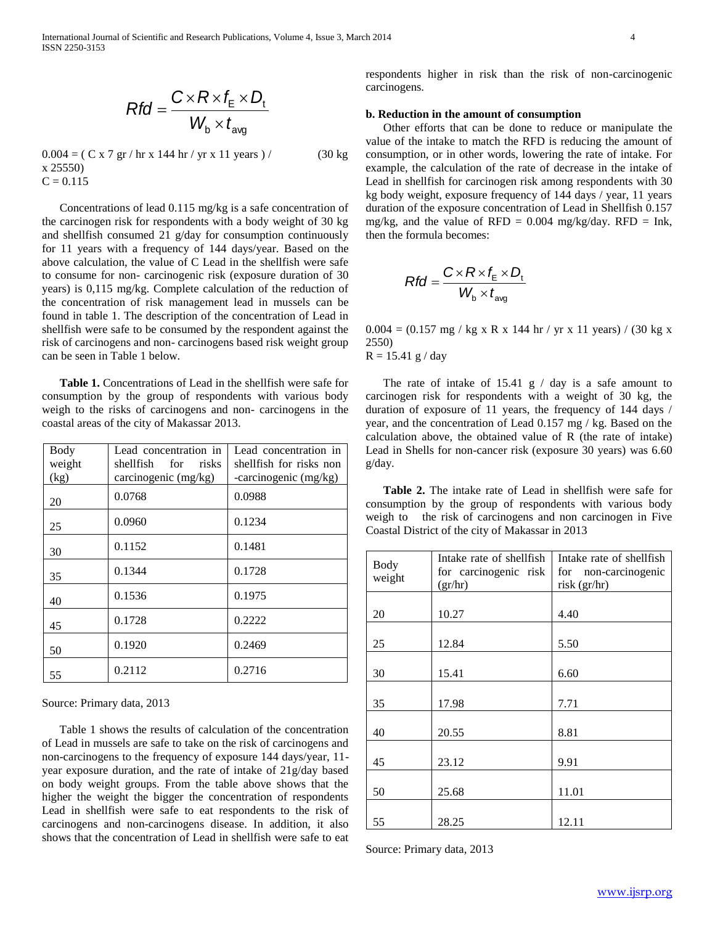$$
Rfd = \frac{C \times R \times f_{\rm E} \times D_{\rm t}}{W_{\rm b} \times t_{\rm avg}}
$$

 $0.004 = ( C x 7 gr / hr x 144 hr / yr x 11 years ) /$  (30 kg x 25550)  $C = 0.115$ 

 Concentrations of lead 0.115 mg/kg is a safe concentration of the carcinogen risk for respondents with a body weight of 30 kg and shellfish consumed 21 g/day for consumption continuously for 11 years with a frequency of 144 days/year. Based on the above calculation, the value of C Lead in the shellfish were safe to consume for non- carcinogenic risk (exposure duration of 30 years) is 0,115 mg/kg. Complete calculation of the reduction of the concentration of risk management lead in mussels can be found in table 1. The description of the concentration of Lead in shellfish were safe to be consumed by the respondent against the risk of carcinogens and non- carcinogens based risk weight group can be seen in Table 1 below.

 **Table 1.** Concentrations of Lead in the shellfish were safe for consumption by the group of respondents with various body weigh to the risks of carcinogens and non- carcinogens in the coastal areas of the city of Makassar 2013.

| Body<br>weight<br>(kg) | Lead concentration in<br>shellfish for<br>risks<br>carcinogenic (mg/kg) | Lead concentration in<br>shellfish for risks non<br>-carcinogenic $(mg/kg)$ |
|------------------------|-------------------------------------------------------------------------|-----------------------------------------------------------------------------|
| 20                     | 0.0768                                                                  | 0.0988                                                                      |
| 25                     | 0.0960                                                                  | 0.1234                                                                      |
| 30                     | 0.1152                                                                  | 0.1481                                                                      |
| 35                     | 0.1344                                                                  | 0.1728                                                                      |
| 40                     | 0.1536                                                                  | 0.1975                                                                      |
| 45                     | 0.1728                                                                  | 0.2222                                                                      |
| 50                     | 0.1920                                                                  | 0.2469                                                                      |
| 55                     | 0.2112                                                                  | 0.2716                                                                      |

Source: Primary data, 2013

 Table 1 shows the results of calculation of the concentration of Lead in mussels are safe to take on the risk of carcinogens and non-carcinogens to the frequency of exposure 144 days/year, 11 year exposure duration, and the rate of intake of 21g/day based on body weight groups. From the table above shows that the higher the weight the bigger the concentration of respondents Lead in shellfish were safe to eat respondents to the risk of carcinogens and non-carcinogens disease. In addition, it also shows that the concentration of Lead in shellfish were safe to eat respondents higher in risk than the risk of non-carcinogenic carcinogens.

## **b. Reduction in the amount of consumption**

 Other efforts that can be done to reduce or manipulate the value of the intake to match the RFD is reducing the amount of consumption, or in other words, lowering the rate of intake. For example, the calculation of the rate of decrease in the intake of Lead in shellfish for carcinogen risk among respondents with 30 kg body weight, exposure frequency of 144 days / year, 11 years duration of the exposure concentration of Lead in Shellfish 0.157 mg/kg, and the value of RFD =  $0.004$  mg/kg/day. RFD = Ink, then the formula becomes:

$$
Rfd = \frac{C \times R \times f_{\rm E} \times D_{\rm t}}{W_{\rm b} \times t_{\rm avg}}
$$

 $0.004 = (0.157 \text{ mg} / \text{kg x R x 144 hr} / \text{yr x 11 years}) / (30 \text{ kg x})$ 2550)  $R = 15.41 g / day$ 

The rate of intake of  $15.41 \text{ g}$  / day is a safe amount to carcinogen risk for respondents with a weight of 30 kg, the duration of exposure of 11 years, the frequency of 144 days / year, and the concentration of Lead 0.157 mg / kg. Based on the calculation above, the obtained value of R (the rate of intake) Lead in Shells for non-cancer risk (exposure 30 years) was 6.60 g/day.

 **Table 2.** The intake rate of Lead in shellfish were safe for consumption by the group of respondents with various body weigh to the risk of carcinogens and non carcinogen in Five Coastal District of the city of Makassar in 2013

| <b>Body</b><br>weight | Intake rate of shellfish<br>for carcinogenic risk<br>(gr/hr) | Intake rate of shellfish<br>for non-carcinogenic<br>risk (gr/hr) |
|-----------------------|--------------------------------------------------------------|------------------------------------------------------------------|
| 20                    | 10.27                                                        | 4.40                                                             |
| 25                    | 12.84                                                        | 5.50                                                             |
| 30                    | 15.41                                                        | 6.60                                                             |
| 35                    | 17.98                                                        | 7.71                                                             |
| 40                    | 20.55                                                        | 8.81                                                             |
| 45                    | 23.12                                                        | 9.91                                                             |
| 50                    | 25.68                                                        | 11.01                                                            |
| 55                    | 28.25                                                        | 12.11                                                            |

Source: Primary data, 2013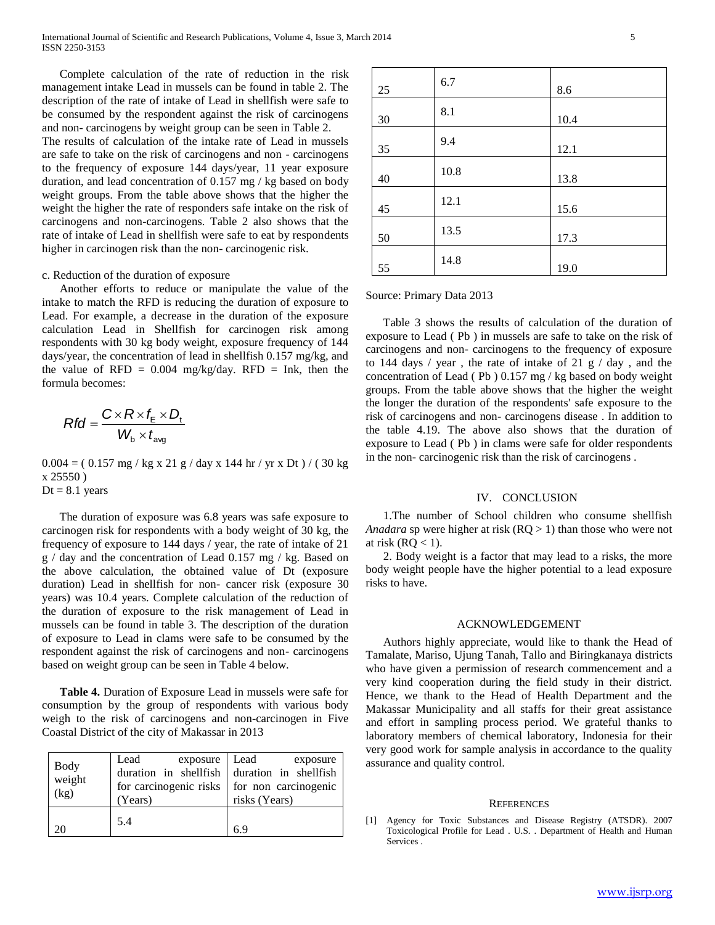Complete calculation of the rate of reduction in the risk management intake Lead in mussels can be found in table 2. The description of the rate of intake of Lead in shellfish were safe to be consumed by the respondent against the risk of carcinogens and non- carcinogens by weight group can be seen in Table 2.

The results of calculation of the intake rate of Lead in mussels are safe to take on the risk of carcinogens and non - carcinogens to the frequency of exposure 144 days/year, 11 year exposure duration, and lead concentration of 0.157 mg / kg based on body weight groups. From the table above shows that the higher the weight the higher the rate of responders safe intake on the risk of carcinogens and non-carcinogens. Table 2 also shows that the rate of intake of Lead in shellfish were safe to eat by respondents higher in carcinogen risk than the non- carcinogenic risk.

## c. Reduction of the duration of exposure

 Another efforts to reduce or manipulate the value of the intake to match the RFD is reducing the duration of exposure to Lead. For example, a decrease in the duration of the exposure calculation Lead in Shellfish for carcinogen risk among respondents with 30 kg body weight, exposure frequency of 144 days/year, the concentration of lead in shellfish 0.157 mg/kg, and the value of RFD =  $0.004$  mg/kg/day. RFD = Ink, then the formula becomes:

$$
Rfd = \frac{C \times R \times f_{\rm E} \times D_{\rm t}}{W_{\rm b} \times t_{\rm avg}}
$$

0.004 = ( 0.157 mg / kg x 21 g / day x 144 hr / yr x Dt ) / ( 30 kg x 25550 )  $Dt = 8.1$  years

 The duration of exposure was 6.8 years was safe exposure to carcinogen risk for respondents with a body weight of 30 kg, the frequency of exposure to 144 days / year, the rate of intake of 21 g / day and the concentration of Lead 0.157 mg / kg. Based on the above calculation, the obtained value of Dt (exposure duration) Lead in shellfish for non- cancer risk (exposure 30 years) was 10.4 years. Complete calculation of the reduction of the duration of exposure to the risk management of Lead in mussels can be found in table 3. The description of the duration of exposure to Lead in clams were safe to be consumed by the respondent against the risk of carcinogens and non- carcinogens based on weight group can be seen in Table 4 below.

 **Table 4.** Duration of Exposure Lead in mussels were safe for consumption by the group of respondents with various body weigh to the risk of carcinogens and non-carcinogen in Five Coastal District of the city of Makassar in 2013

| Body<br>weight<br>(kg) | Lead<br>exposure Lead<br>duration in shellfish duration in shellfish<br>for carcinogenic risks   for non carcinogenic<br>(Years) | exposure<br>risks (Years) |
|------------------------|----------------------------------------------------------------------------------------------------------------------------------|---------------------------|
| 20                     | 5.4                                                                                                                              | 6.9                       |

| 25 | 6.7  | 8.6  |
|----|------|------|
| 30 | 8.1  | 10.4 |
| 35 | 9.4  | 12.1 |
| 40 | 10.8 | 13.8 |
| 45 | 12.1 | 15.6 |
| 50 | 13.5 | 17.3 |
| 55 | 14.8 | 19.0 |

Source: Primary Data 2013

 Table 3 shows the results of calculation of the duration of exposure to Lead ( Pb ) in mussels are safe to take on the risk of carcinogens and non- carcinogens to the frequency of exposure to 144 days / year, the rate of intake of 21 g  $/$  day, and the concentration of Lead ( Pb ) 0.157 mg / kg based on body weight groups. From the table above shows that the higher the weight the longer the duration of the respondents' safe exposure to the risk of carcinogens and non- carcinogens disease . In addition to the table 4.19. The above also shows that the duration of exposure to Lead ( Pb ) in clams were safe for older respondents in the non- carcinogenic risk than the risk of carcinogens .

## IV. CONCLUSION

 1.The number of School children who consume shellfish *Anadara* sp were higher at risk (RQ > 1) than those who were not at risk ( $RQ < 1$ ).

 2. Body weight is a factor that may lead to a risks, the more body weight people have the higher potential to a lead exposure risks to have.

#### ACKNOWLEDGEMENT

 Authors highly appreciate, would like to thank the Head of Tamalate, Mariso, Ujung Tanah, Tallo and Biringkanaya districts who have given a permission of research commencement and a very kind cooperation during the field study in their district. Hence, we thank to the Head of Health Department and the Makassar Municipality and all staffs for their great assistance and effort in sampling process period. We grateful thanks to laboratory members of chemical laboratory, Indonesia for their very good work for sample analysis in accordance to the quality assurance and quality control.

#### **REFERENCES**

[1] Agency for Toxic Substances and Disease Registry (ATSDR). 2007 Toxicological Profile for Lead . U.S. . Department of Health and Human Services .